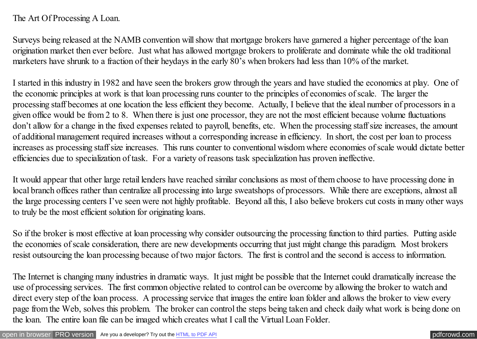## The Art Of Processing A Loan.

Surveys being released at the NAMB convention will show that mortgage brokers have garnered a higher percentage of the loan origination market then ever before. Just what has allowed mortgage brokers to proliferate and dominate while the old traditional marketers have shrunk to a fraction of their heydays in the early 80's when brokers had less than 10% of the market.

I started in this industry in 1982 and have seen the brokers grow through the years and have studied the economics at play. One of the economic principles at work is that loan processing runs counter to the principles of economies of scale. The larger the processing staff becomes at one location the less efficient they become. Actually, I believe that the ideal number of processors in a given office would be from 2 to 8. When there is just one processor, they are not the most efficient because volume fluctuations don't allow for a change in the fixed expenses related to payroll, benefits, etc. When the processing staff size increases, the amount of additional management required increases without a corresponding increase in efficiency. In short, the cost per loan to process increases as processing staff size increases. This runs counter to conventional wisdom where economies of scale would dictate better efficiencies due to specialization of task. For a variety of reasons task specialization has proven ineffective.

It would appear that other large retail lenders have reached similar conclusions as most of them choose to have processing done in local branch offices rather than centralize all processing into large sweatshops of processors. While there are exceptions, almost all the large processing centers I've seen were not highly profitable. Beyond all this, I also believe brokers cut costs in many other ways to truly be the most efficient solution for originating loans.

So if the broker is most effective at loan processing why consider outsourcing the processing function to third parties. Putting aside the economies of scale consideration, there are new developments occurring that just might change this paradigm. Most brokers resist outsourcing the loan processing because of two major factors. The first is control and the second is access to information.

The Internet is changing many industries in dramatic ways. It just might be possible that the Internet could dramatically increase the use of processing services. The first common objective related to control can be overcome by allowing the broker to watch and direct every step of the loan process. A processing service that images the entire loan folder and allows the broker to view every page from the Web, solves this problem. The broker can control the steps being taken and check daily what work is being done on the loan. The entire loan file can be imaged which creates what I call the Virtual Loan Folder.